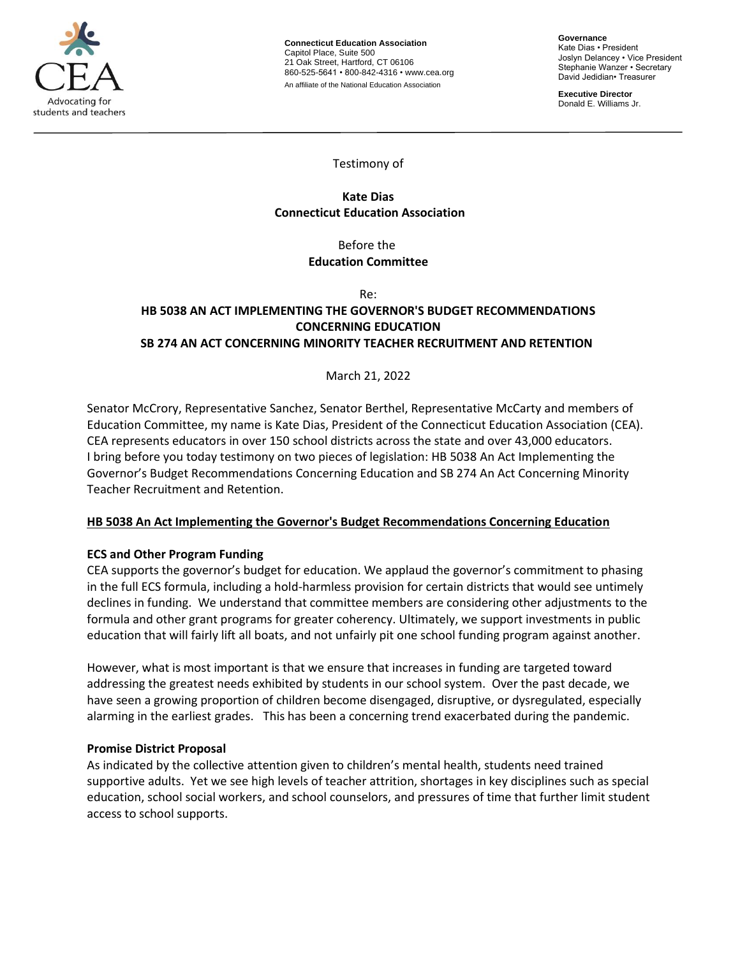

**Connecticut Education Association** Capitol Place, Suite 500 21 Oak Street, Hartford, CT 06106 860-525-5641 • 800-842-4316 • [www.cea.org](http://www.cea.org/) An affiliate of the National Education Association

**Governance** Kate Dias • President Joslyn Delancey • Vice President Stephanie Wanzer • Secretary David Jedidian• Treasurer

**Executive Director**  Donald E. Williams Jr.

Testimony of

## **Kate Dias Connecticut Education Association**

## Before the **Education Committee**

Re:

# **HB 5038 AN ACT IMPLEMENTING THE GOVERNOR'S BUDGET RECOMMENDATIONS CONCERNING EDUCATION SB 274 AN ACT CONCERNING MINORITY TEACHER RECRUITMENT AND RETENTION**

### March 21, 2022

Senator McCrory, Representative Sanchez, Senator Berthel, Representative McCarty and members of Education Committee, my name is Kate Dias, President of the Connecticut Education Association (CEA). CEA represents educators in over 150 school districts across the state and over 43,000 educators. I bring before you today testimony on two pieces of legislation: HB 5038 An Act Implementing the Governor's Budget Recommendations Concerning Education and SB 274 An Act Concerning Minority Teacher Recruitment and Retention.

## **HB 5038 An Act Implementing the Governor's Budget Recommendations Concerning Education**

#### **ECS and Other Program Funding**

CEA supports the governor's budget for education. We applaud the governor's commitment to phasing in the full ECS formula, including a hold-harmless provision for certain districts that would see untimely declines in funding. We understand that committee members are considering other adjustments to the formula and other grant programs for greater coherency. Ultimately, we support investments in public education that will fairly lift all boats, and not unfairly pit one school funding program against another.

However, what is most important is that we ensure that increases in funding are targeted toward addressing the greatest needs exhibited by students in our school system. Over the past decade, we have seen a growing proportion of children become disengaged, disruptive, or dysregulated, especially alarming in the earliest grades. This has been a concerning trend exacerbated during the pandemic.

#### **Promise District Proposal**

As indicated by the collective attention given to children's mental health, students need trained supportive adults. Yet we see high levels of teacher attrition, shortages in key disciplines such as special education, school social workers, and school counselors, and pressures of time that further limit student access to school supports.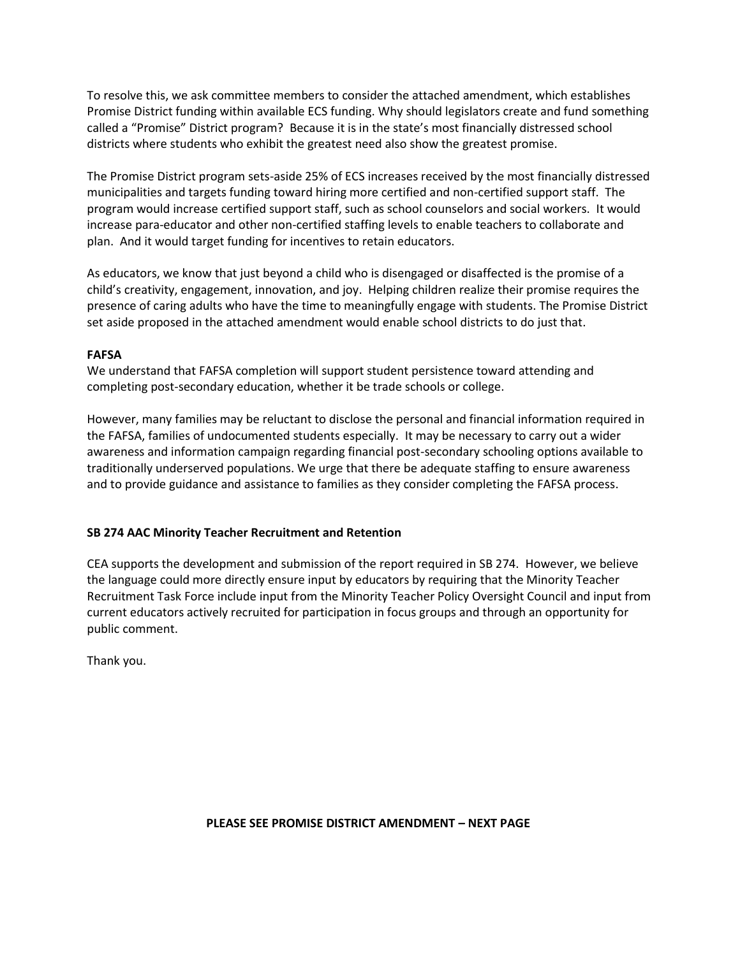To resolve this, we ask committee members to consider the attached amendment, which establishes Promise District funding within available ECS funding. Why should legislators create and fund something called a "Promise" District program? Because it is in the state's most financially distressed school districts where students who exhibit the greatest need also show the greatest promise.

The Promise District program sets-aside 25% of ECS increases received by the most financially distressed municipalities and targets funding toward hiring more certified and non-certified support staff. The program would increase certified support staff, such as school counselors and social workers. It would increase para-educator and other non-certified staffing levels to enable teachers to collaborate and plan. And it would target funding for incentives to retain educators.

As educators, we know that just beyond a child who is disengaged or disaffected is the promise of a child's creativity, engagement, innovation, and joy. Helping children realize their promise requires the presence of caring adults who have the time to meaningfully engage with students. The Promise District set aside proposed in the attached amendment would enable school districts to do just that.

#### **FAFSA**

We understand that FAFSA completion will support student persistence toward attending and completing post-secondary education, whether it be trade schools or college.

However, many families may be reluctant to disclose the personal and financial information required in the FAFSA, families of undocumented students especially. It may be necessary to carry out a wider awareness and information campaign regarding financial post-secondary schooling options available to traditionally underserved populations. We urge that there be adequate staffing to ensure awareness and to provide guidance and assistance to families as they consider completing the FAFSA process.

#### **SB 274 AAC Minority Teacher Recruitment and Retention**

CEA supports the development and submission of the report required in SB 274. However, we believe the language could more directly ensure input by educators by requiring that the Minority Teacher Recruitment Task Force include input from the Minority Teacher Policy Oversight Council and input from current educators actively recruited for participation in focus groups and through an opportunity for public comment.

Thank you.